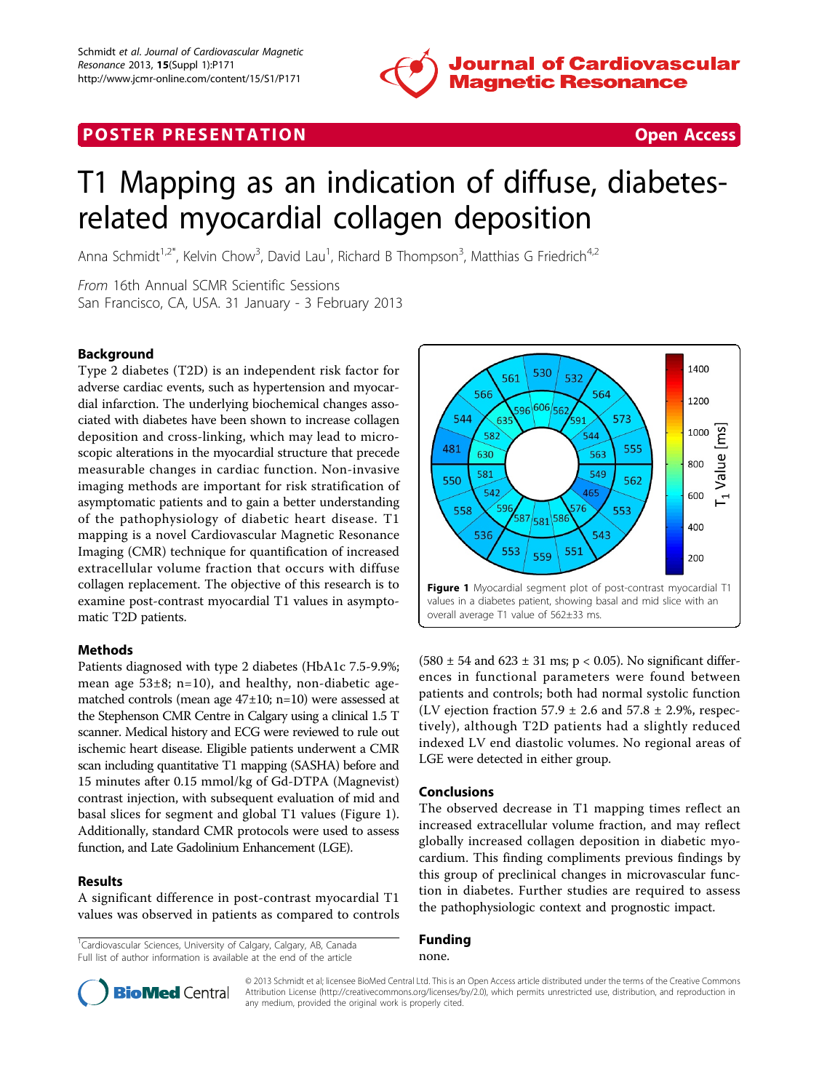

# **POSTER PRESENTATION CONSUMING THE SECOND CONSUMING THE SECOND CONSUMING THE SECOND CONSUMING THE SECOND CONSUMING THE SECOND CONSUMING THE SECOND CONSUMING THE SECOND CONSUMING THE SECOND CONSUMING THE SECOND CONSUMING**



# T1 Mapping as an indication of diffuse, diabetesrelated myocardial collagen deposition

Anna Schmidt<sup>1,2\*</sup>, Kelvin Chow<sup>3</sup>, David Lau<sup>1</sup>, Richard B Thompson<sup>3</sup>, Matthias G Friedrich<sup>4,2</sup>

From 16th Annual SCMR Scientific Sessions San Francisco, CA, USA. 31 January - 3 February 2013

### Background

Type 2 diabetes (T2D) is an independent risk factor for adverse cardiac events, such as hypertension and myocardial infarction. The underlying biochemical changes associated with diabetes have been shown to increase collagen deposition and cross-linking, which may lead to microscopic alterations in the myocardial structure that precede measurable changes in cardiac function. Non-invasive imaging methods are important for risk stratification of asymptomatic patients and to gain a better understanding of the pathophysiology of diabetic heart disease. T1 mapping is a novel Cardiovascular Magnetic Resonance Imaging (CMR) technique for quantification of increased extracellular volume fraction that occurs with diffuse collagen replacement. The objective of this research is to examine post-contrast myocardial T1 values in asymptomatic T2D patients.

#### Methods

Patients diagnosed with type 2 diabetes (HbA1c 7.5-9.9%; mean age  $53\pm8$ ; n=10), and healthy, non-diabetic agematched controls (mean age 47±10; n=10) were assessed at the Stephenson CMR Centre in Calgary using a clinical 1.5 T scanner. Medical history and ECG were reviewed to rule out ischemic heart disease. Eligible patients underwent a CMR scan including quantitative T1 mapping (SASHA) before and 15 minutes after 0.15 mmol/kg of Gd-DTPA (Magnevist) contrast injection, with subsequent evaluation of mid and basal slices for segment and global T1 values (Figure 1). Additionally, standard CMR protocols were used to assess function, and Late Gadolinium Enhancement (LGE).

### Results

A significant difference in post-contrast myocardial T1 values was observed in patients as compared to controls

<sup>1</sup>Cardiovascular Sciences, University of Calgary, Calgary, AB, Canada Full list of author information is available at the end of the article

1400 530 561 532 566 564 1200  $606 \frac{1}{56}$ 544 573 63 .<br>591 1000 [1 Value [ms] 582 544 481 555 630 563 800 549 581 550 562 542 465 600 76 558 553 ,<br>587  $/$ 581 $/$ 586 400 536 543 553 551 559 200 Figure 1 Myocardial segment plot of post-contrast myocardial T1 values in a diabetes patient, showing basal and mid slice with an overall average T1 value of 562±33 ms.

 $(580 \pm 54 \text{ and } 623 \pm 31 \text{ ms}; p < 0.05)$ . No significant differences in functional parameters were found between patients and controls; both had normal systolic function (LV ejection fraction 57.9  $\pm$  2.6 and 57.8  $\pm$  2.9%, respectively), although T2D patients had a slightly reduced indexed LV end diastolic volumes. No regional areas of LGE were detected in either group.

#### Conclusions

The observed decrease in T1 mapping times reflect an increased extracellular volume fraction, and may reflect globally increased collagen deposition in diabetic myocardium. This finding compliments previous findings by this group of preclinical changes in microvascular function in diabetes. Further studies are required to assess the pathophysiologic context and prognostic impact.

## Funding

none.



© 2013 Schmidt et al; licensee BioMed Central Ltd. This is an Open Access article distributed under the terms of the Creative Commons Attribution License [\(http://creativecommons.org/licenses/by/2.0](http://creativecommons.org/licenses/by/2.0)), which permits unrestricted use, distribution, and reproduction in any medium, provided the original work is properly cited.